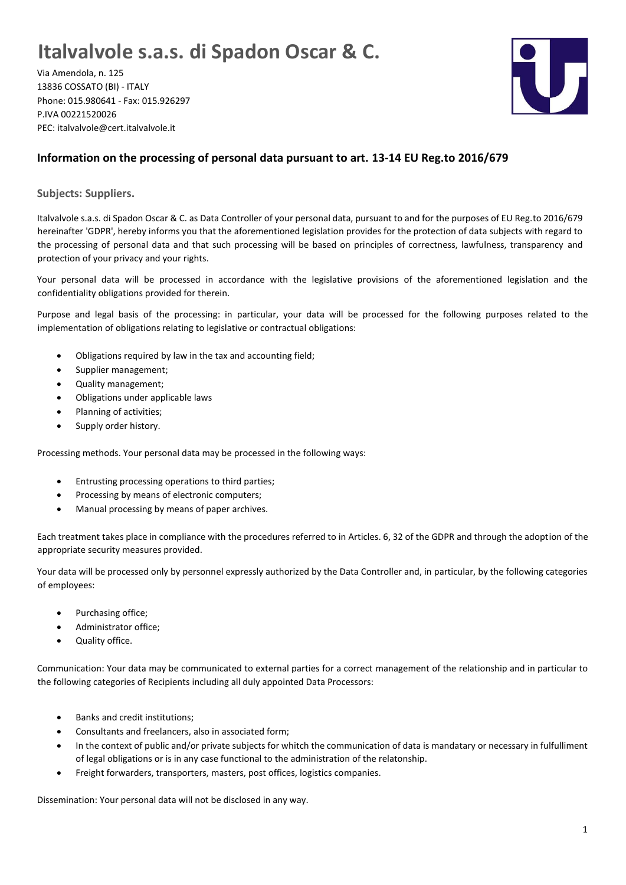## **Italvalvole s.a.s. di Spadon Oscar & C.**

Via Amendola, n. 125 13836 COSSATO (BI) - ITALY Phone: 015.980641 - Fax: 015.926297 P.IVA 00221520026 PEC: italvalvole@cert.italvalvole.it



## **Information on the processing of personal data pursuant to art. 13-14 EU Reg.to 2016/679**

**Subjects: Suppliers.**

Italvalvole s.a.s. di Spadon Oscar & C. as Data Controller of your personal data, pursuant to and for the purposes of EU Reg.to 2016/679 hereinafter 'GDPR', hereby informs you that the aforementioned legislation provides for the protection of data subjects with regard to the processing of personal data and that such processing will be based on principles of correctness, lawfulness, transparency and protection of your privacy and your rights.

Your personal data will be processed in accordance with the legislative provisions of the aforementioned legislation and the confidentiality obligations provided for therein.

Purpose and legal basis of the processing: in particular, your data will be processed for the following purposes related to the implementation of obligations relating to legislative or contractual obligations:

- Obligations required by law in the tax and accounting field;
- Supplier management;
- Quality management;
- Obligations under applicable laws
- Planning of activities;
- Supply order history.

Processing methods. Your personal data may be processed in the following ways:

- Entrusting processing operations to third parties;
- Processing by means of electronic computers;
- Manual processing by means of paper archives.

Each treatment takes place in compliance with the procedures referred to in Articles. 6, 32 of the GDPR and through the adoption of the appropriate security measures provided.

Your data will be processed only by personnel expressly authorized by the Data Controller and, in particular, by the following categories of employees:

- Purchasing office;
- Administrator office;
- Quality office.

Communication: Your data may be communicated to external parties for a correct management of the relationship and in particular to the following categories of Recipients including all duly appointed Data Processors:

- Banks and credit institutions;
- Consultants and freelancers, also in associated form;
- In the context of public and/or private subjects for whitch the communication of data is mandatary or necessary in fulfulliment of legal obligations or is in any case functional to the administration of the relatonship.
- Freight forwarders, transporters, masters, post offices, logistics companies.

Dissemination: Your personal data will not be disclosed in any way.